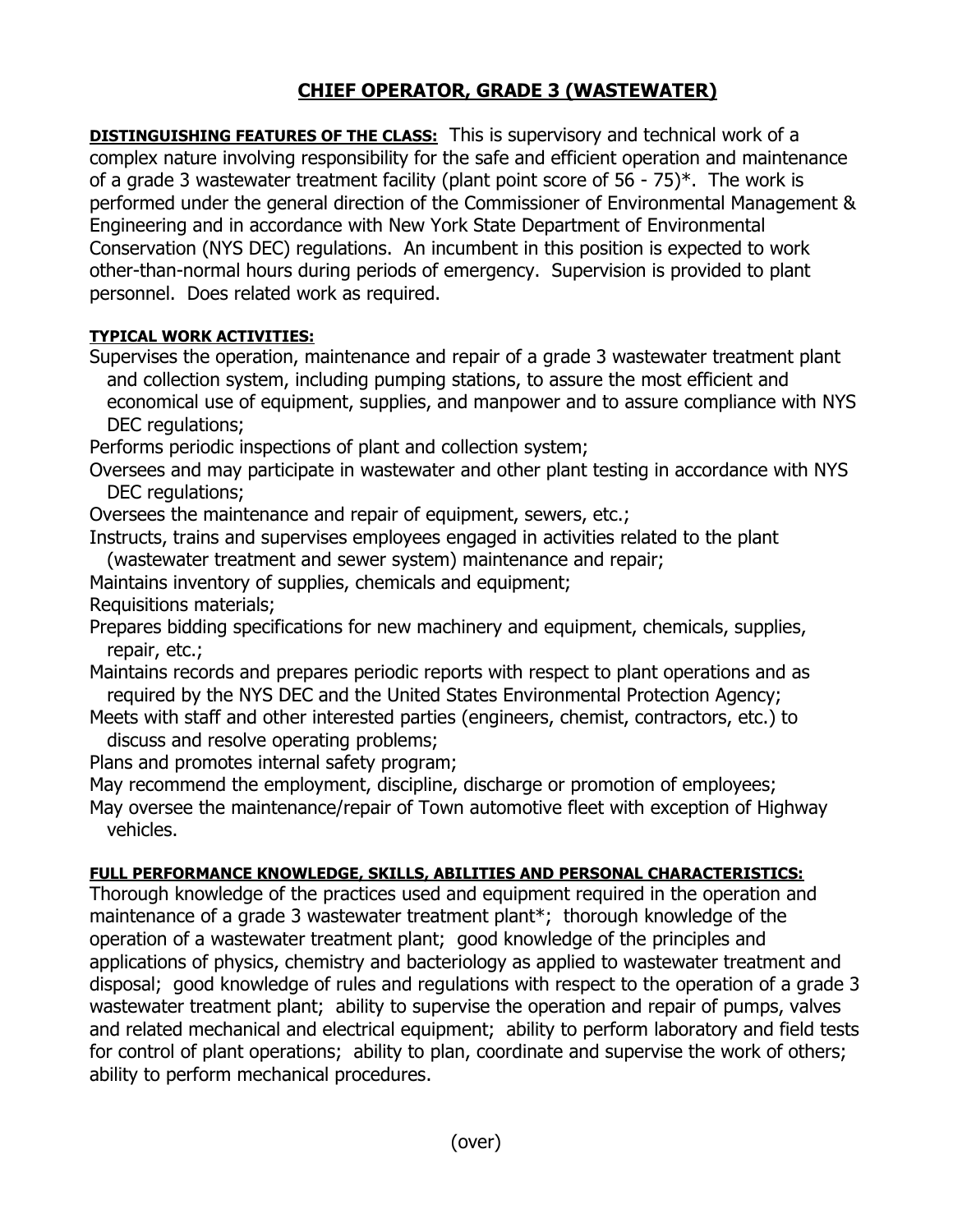## **CHIEF OPERATOR, GRADE 3 (WASTEWATER)**

**DISTINGUISHING FEATURES OF THE CLASS:** This is supervisory and technical work of a complex nature involving responsibility for the safe and efficient operation and maintenance of a grade 3 wastewater treatment facility (plant point score of 56 - 75)\*. The work is performed under the general direction of the Commissioner of Environmental Management & Engineering and in accordance with New York State Department of Environmental Conservation (NYS DEC) regulations. An incumbent in this position is expected to work other-than-normal hours during periods of emergency. Supervision is provided to plant personnel. Does related work as required.

## **TYPICAL WORK ACTIVITIES:**

- Supervises the operation, maintenance and repair of a grade 3 wastewater treatment plant and collection system, including pumping stations, to assure the most efficient and economical use of equipment, supplies, and manpower and to assure compliance with NYS DEC regulations;
- Performs periodic inspections of plant and collection system;
- Oversees and may participate in wastewater and other plant testing in accordance with NYS DEC regulations;
- Oversees the maintenance and repair of equipment, sewers, etc.;
- Instructs, trains and supervises employees engaged in activities related to the plant (wastewater treatment and sewer system) maintenance and repair;
- Maintains inventory of supplies, chemicals and equipment;

Requisitions materials;

- Prepares bidding specifications for new machinery and equipment, chemicals, supplies, repair, etc.;
- Maintains records and prepares periodic reports with respect to plant operations and as required by the NYS DEC and the United States Environmental Protection Agency;
- Meets with staff and other interested parties (engineers, chemist, contractors, etc.) to discuss and resolve operating problems;
- Plans and promotes internal safety program;
- May recommend the employment, discipline, discharge or promotion of employees;
- May oversee the maintenance/repair of Town automotive fleet with exception of Highway vehicles.

## **FULL PERFORMANCE KNOWLEDGE, SKILLS, ABILITIES AND PERSONAL CHARACTERISTICS:**

Thorough knowledge of the practices used and equipment required in the operation and maintenance of a grade 3 wastewater treatment plant\*; thorough knowledge of the operation of a wastewater treatment plant; good knowledge of the principles and applications of physics, chemistry and bacteriology as applied to wastewater treatment and disposal; good knowledge of rules and regulations with respect to the operation of a grade 3 wastewater treatment plant; ability to supervise the operation and repair of pumps, valves and related mechanical and electrical equipment; ability to perform laboratory and field tests for control of plant operations; ability to plan, coordinate and supervise the work of others; ability to perform mechanical procedures.